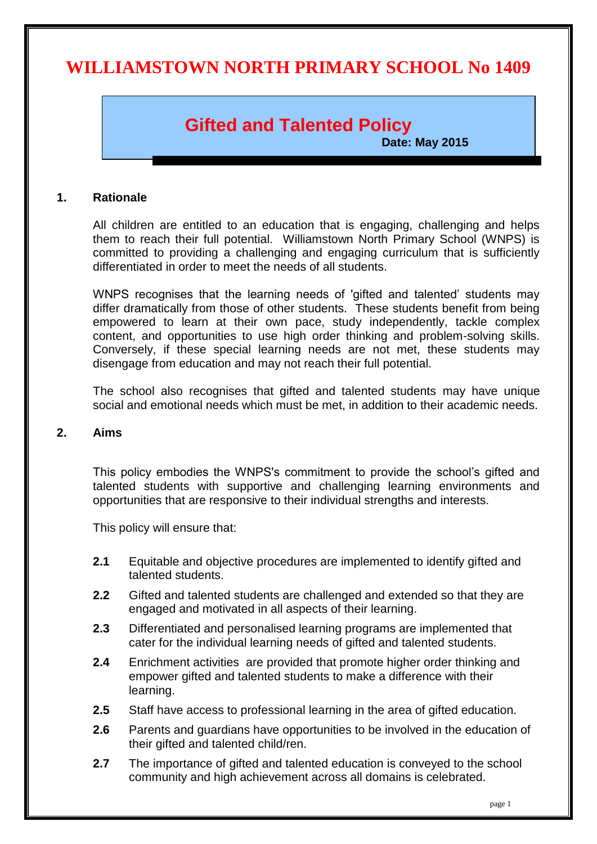# **WILLIAMSTOWN NORTH PRIMARY SCHOOL No 1409**

# **Gifted and Talented Policy**

**Date: May 2015**

#### **1. Rationale**

All children are entitled to an education that is engaging, challenging and helps them to reach their full potential. Williamstown North Primary School (WNPS) is committed to providing a challenging and engaging curriculum that is sufficiently differentiated in order to meet the needs of all students.

WNPS recognises that the learning needs of 'gifted and talented' students may differ dramatically from those of other students. These students benefit from being empowered to learn at their own pace, study independently, tackle complex content, and opportunities to use high order thinking and problem-solving skills. Conversely, if these special learning needs are not met, these students may disengage from education and may not reach their full potential.

The school also recognises that gifted and talented students may have unique social and emotional needs which must be met, in addition to their academic needs.

#### **2. Aims**

This policy embodies the WNPS's commitment to provide the school's gifted and talented students with supportive and challenging learning environments and opportunities that are responsive to their individual strengths and interests.

This policy will ensure that:

- **2.1** Equitable and objective procedures are implemented to identify gifted and talented students.
- **2.2** Gifted and talented students are challenged and extended so that they are engaged and motivated in all aspects of their learning.
- **2.3** Differentiated and personalised learning programs are implemented that cater for the individual learning needs of gifted and talented students.
- **2.4** Enrichment activities are provided that promote higher order thinking and empower gifted and talented students to make a difference with their learning.
- **2.5** Staff have access to professional learning in the area of gifted education.
- **2.6** Parents and guardians have opportunities to be involved in the education of their gifted and talented child/ren.
- **2.7** The importance of gifted and talented education is conveyed to the school community and high achievement across all domains is celebrated.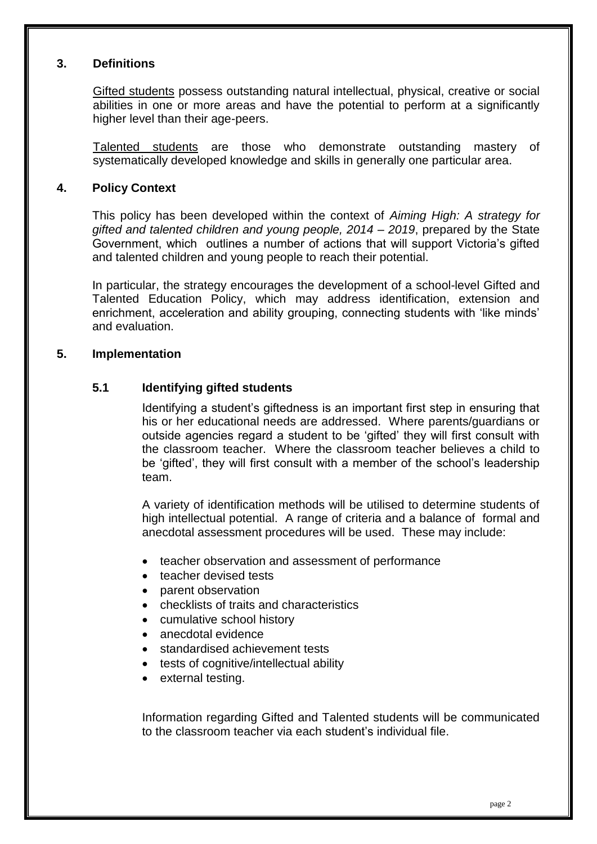### **3. Definitions**

Gifted students possess outstanding natural intellectual, physical, creative or social abilities in one or more areas and have the potential to perform at a significantly higher level than their age-peers.

Talented students are those who demonstrate outstanding mastery of systematically developed knowledge and skills in generally one particular area.

#### **4. Policy Context**

This policy has been developed within the context of *Aiming High: A strategy for gifted and talented children and young people, 2014 – 2019*, prepared by the State Government, which outlines a number of actions that will support Victoria's gifted and talented children and young people to reach their potential.

In particular, the strategy encourages the development of a school-level Gifted and Talented Education Policy, which may address identification, extension and enrichment, acceleration and ability grouping, connecting students with 'like minds' and evaluation.

#### **5. Implementation**

### **5.1 Identifying gifted students**

Identifying a student's giftedness is an important first step in ensuring that his or her educational needs are addressed. Where parents/guardians or outside agencies regard a student to be 'gifted' they will first consult with the classroom teacher. Where the classroom teacher believes a child to be 'gifted', they will first consult with a member of the school's leadership team.

A variety of identification methods will be utilised to determine students of high intellectual potential. A range of criteria and a balance of formal and anecdotal assessment procedures will be used. These may include:

- teacher observation and assessment of performance
- teacher devised tests
- parent observation
- checklists of traits and characteristics
- cumulative school history
- anecdotal evidence
- standardised achievement tests
- tests of cognitive/intellectual ability
- external testing.

Information regarding Gifted and Talented students will be communicated to the classroom teacher via each student's individual file.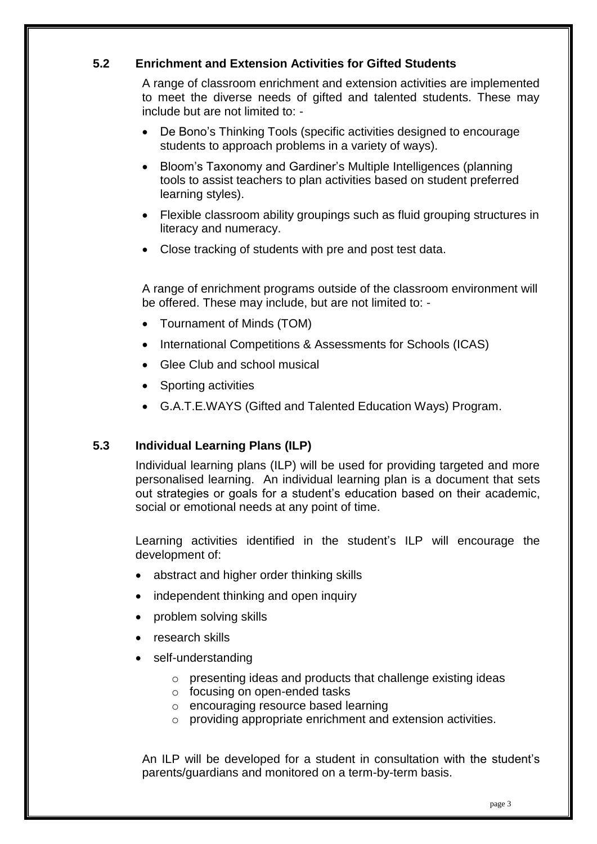## **5.2 Enrichment and Extension Activities for Gifted Students**

A range of classroom enrichment and extension activities are implemented to meet the diverse needs of gifted and talented students. These may include but are not limited to: -

- De Bono's Thinking Tools (specific activities designed to encourage students to approach problems in a variety of ways).
- Bloom's Taxonomy and Gardiner's Multiple Intelligences (planning tools to assist teachers to plan activities based on student preferred learning styles).
- Flexible classroom ability groupings such as fluid grouping structures in literacy and numeracy.
- Close tracking of students with pre and post test data.

A range of enrichment programs outside of the classroom environment will be offered. These may include, but are not limited to: -

- Tournament of Minds (TOM)
- International Competitions & Assessments for Schools (ICAS)
- Glee Club and school musical
- Sporting activities
- G.A.T.E.WAYS (Gifted and Talented Education Ways) Program.

## **5.3 Individual Learning Plans (ILP)**

Individual learning plans (ILP) will be used for providing targeted and more personalised learning. An individual learning plan is a document that sets out strategies or goals for a student's education based on their academic, social or emotional needs at any point of time.

Learning activities identified in the student's ILP will encourage the development of:

- abstract and higher order thinking skills
- independent thinking and open inquiry
- problem solving skills
- research skills
- self-understanding
	- $\circ$  presenting ideas and products that challenge existing ideas
	- o focusing on open-ended tasks
	- o encouraging resource based learning
	- o providing appropriate enrichment and extension activities.

An ILP will be developed for a student in consultation with the student's parents/guardians and monitored on a term-by-term basis.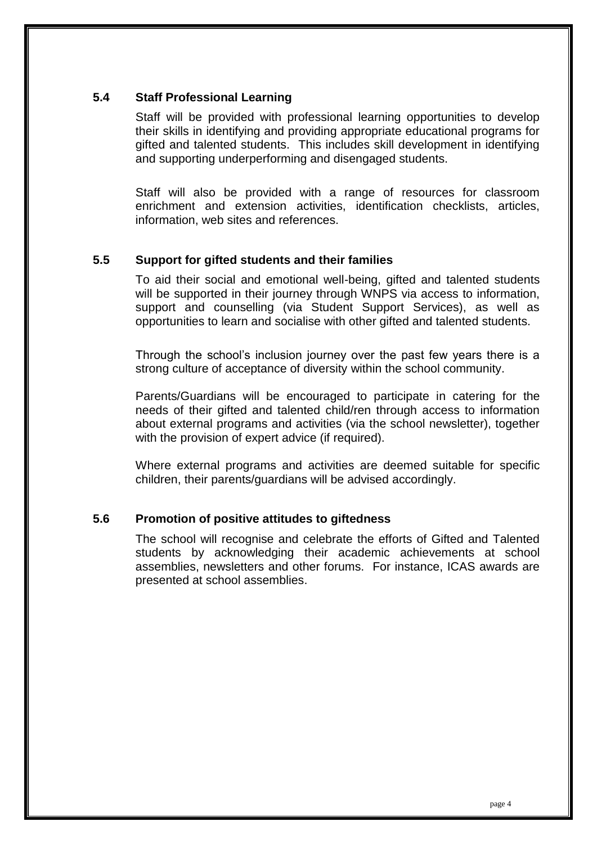### **5.4 Staff Professional Learning**

Staff will be provided with professional learning opportunities to develop their skills in identifying and providing appropriate educational programs for gifted and talented students. This includes skill development in identifying and supporting underperforming and disengaged students.

Staff will also be provided with a range of resources for classroom enrichment and extension activities, identification checklists, articles, information, web sites and references.

## **5.5 Support for gifted students and their families**

To aid their social and emotional well-being, gifted and talented students will be supported in their journey through WNPS via access to information, support and counselling (via Student Support Services), as well as opportunities to learn and socialise with other gifted and talented students.

Through the school's inclusion journey over the past few years there is a strong culture of acceptance of diversity within the school community.

Parents/Guardians will be encouraged to participate in catering for the needs of their gifted and talented child/ren through access to information about external programs and activities (via the school newsletter), together with the provision of expert advice (if required).

Where external programs and activities are deemed suitable for specific children, their parents/guardians will be advised accordingly.

### **5.6 Promotion of positive attitudes to giftedness**

The school will recognise and celebrate the efforts of Gifted and Talented students by acknowledging their academic achievements at school assemblies, newsletters and other forums. For instance, ICAS awards are presented at school assemblies.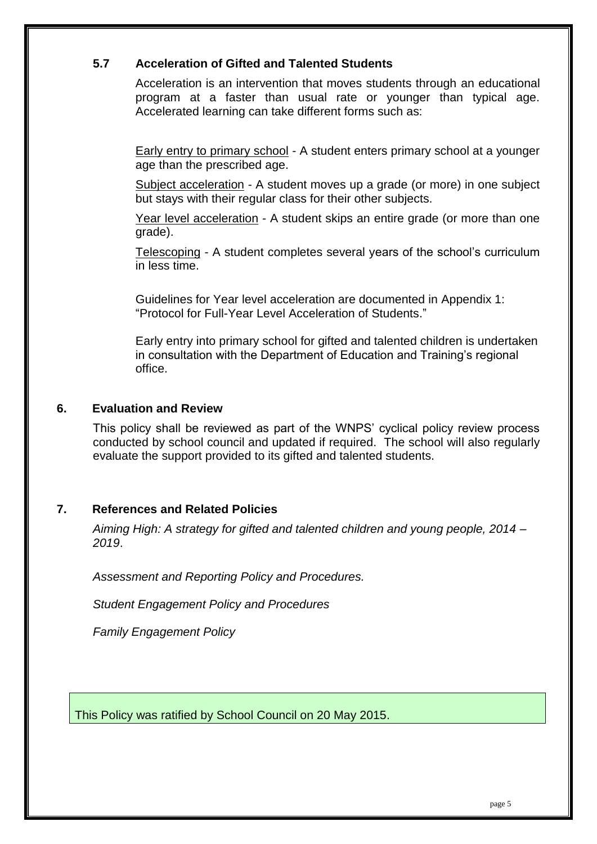## **5.7 Acceleration of Gifted and Talented Students**

Acceleration is an intervention that moves students through an educational program at a faster than usual rate or younger than typical age. Accelerated learning can take different forms such as:

Early entry to primary school - A student enters primary school at a younger age than the prescribed age.

Subject acceleration - A student moves up a grade (or more) in one subject but stays with their regular class for their other subjects.

Year level acceleration - A student skips an entire grade (or more than one grade).

Telescoping - A student completes several years of the school's curriculum in less time.

Guidelines for Year level acceleration are documented in Appendix 1: "Protocol for Full-Year Level Acceleration of Students."

Early entry into primary school for gifted and talented children is undertaken in consultation with the Department of Education and Training's regional office.

### **6. Evaluation and Review**

This policy shall be reviewed as part of the WNPS' cyclical policy review process conducted by school council and updated if required. The school will also regularly evaluate the support provided to its gifted and talented students.

### **7. References and Related Policies**

*Aiming High: A strategy for gifted and talented children and young people, 2014 – 2019*.

*Assessment and Reporting Policy and Procedures.*

*Student Engagement Policy and Procedures*

*Family Engagement Policy*

This Policy was ratified by School Council on 20 May 2015.